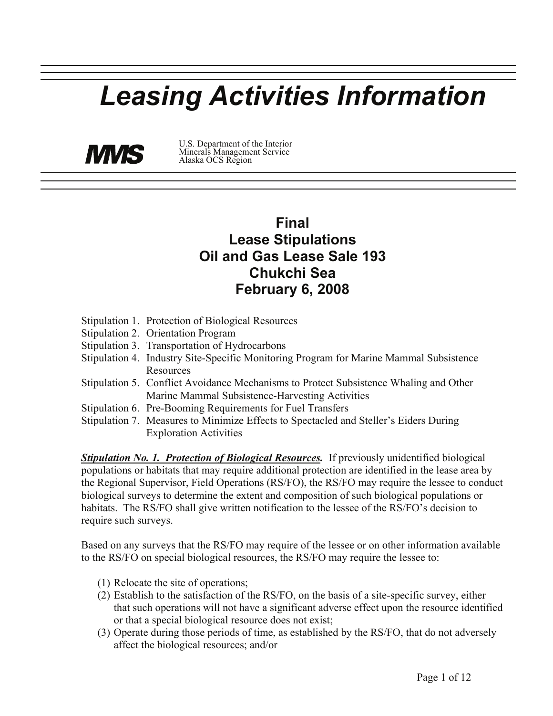# *Leasing Activities Information*



U.S. Department of the Interior Minerals Management Service **MMS** Minerals Management

# **Final Lease Stipulations Oil and Gas Lease Sale 193 Chukchi Sea February 6, 2008**

- Stipulation 1. Protection of Biological Resources
- Stipulation 2. Orientation Program
- Stipulation 3. Transportation of Hydrocarbons
- Stipulation 4. Industry Site-Specific Monitoring Program for Marine Mammal Subsistence **Resources**
- Stipulation 5. Conflict Avoidance Mechanisms to Protect Subsistence Whaling and Other Marine Mammal Subsistence-Harvesting Activities
- Stipulation 6. Pre-Booming Requirements for Fuel Transfers
- Stipulation 7. Measures to Minimize Effects to Spectacled and Steller's Eiders During Exploration Activities

*Stipulation No. 1. Protection of Biological Resources.* If previously unidentified biological populations or habitats that may require additional protection are identified in the lease area by the Regional Supervisor, Field Operations (RS/FO), the RS/FO may require the lessee to conduct biological surveys to determine the extent and composition of such biological populations or habitats. The RS/FO shall give written notification to the lessee of the RS/FO's decision to require such surveys.

Based on any surveys that the RS/FO may require of the lessee or on other information available to the RS/FO on special biological resources, the RS/FO may require the lessee to:

- (1) Relocate the site of operations;
- (2) Establish to the satisfaction of the RS/FO, on the basis of a site-specific survey, either that such operations will not have a significant adverse effect upon the resource identified or that a special biological resource does not exist;
- (3) Operate during those periods of time, as established by the RS/FO, that do not adversely affect the biological resources; and/or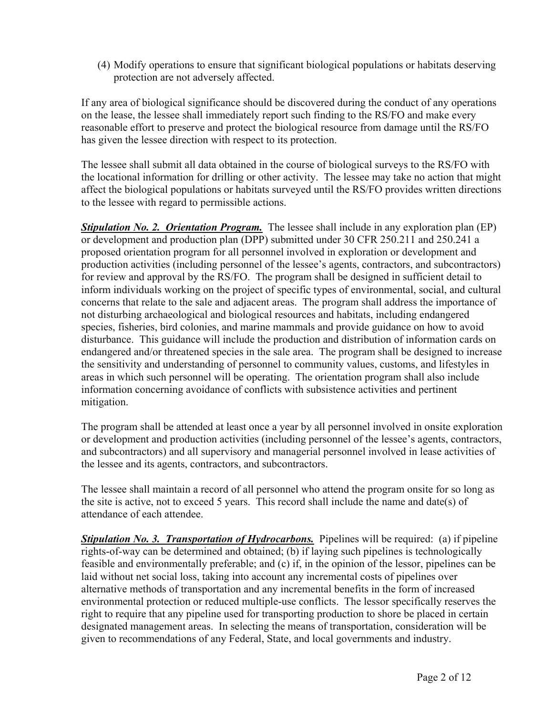(4) Modify operations to ensure that significant biological populations or habitats deserving protection are not adversely affected.

If any area of biological significance should be discovered during the conduct of any operations on the lease, the lessee shall immediately report such finding to the RS/FO and make every reasonable effort to preserve and protect the biological resource from damage until the RS/FO has given the lessee direction with respect to its protection.

The lessee shall submit all data obtained in the course of biological surveys to the RS/FO with the locational information for drilling or other activity. The lessee may take no action that might affect the biological populations or habitats surveyed until the RS/FO provides written directions to the lessee with regard to permissible actions.

*Stipulation No. 2. Orientation Program.* The lessee shall include in any exploration plan (EP) or development and production plan (DPP) submitted under 30 CFR 250.211 and 250.241 a proposed orientation program for all personnel involved in exploration or development and production activities (including personnel of the lessee's agents, contractors, and subcontractors) for review and approval by the RS/FO. The program shall be designed in sufficient detail to inform individuals working on the project of specific types of environmental, social, and cultural concerns that relate to the sale and adjacent areas. The program shall address the importance of not disturbing archaeological and biological resources and habitats, including endangered species, fisheries, bird colonies, and marine mammals and provide guidance on how to avoid disturbance. This guidance will include the production and distribution of information cards on endangered and/or threatened species in the sale area. The program shall be designed to increase the sensitivity and understanding of personnel to community values, customs, and lifestyles in areas in which such personnel will be operating. The orientation program shall also include information concerning avoidance of conflicts with subsistence activities and pertinent mitigation.

The program shall be attended at least once a year by all personnel involved in onsite exploration or development and production activities (including personnel of the lessee's agents, contractors, and subcontractors) and all supervisory and managerial personnel involved in lease activities of the lessee and its agents, contractors, and subcontractors.

The lessee shall maintain a record of all personnel who attend the program onsite for so long as the site is active, not to exceed 5 years. This record shall include the name and date(s) of attendance of each attendee.

*Stipulation No. 3. Transportation of Hydrocarbons.* Pipelines will be required: (a) if pipeline rights-of-way can be determined and obtained; (b) if laying such pipelines is technologically feasible and environmentally preferable; and (c) if, in the opinion of the lessor, pipelines can be laid without net social loss, taking into account any incremental costs of pipelines over alternative methods of transportation and any incremental benefits in the form of increased environmental protection or reduced multiple-use conflicts. The lessor specifically reserves the right to require that any pipeline used for transporting production to shore be placed in certain designated management areas. In selecting the means of transportation, consideration will be given to recommendations of any Federal, State, and local governments and industry.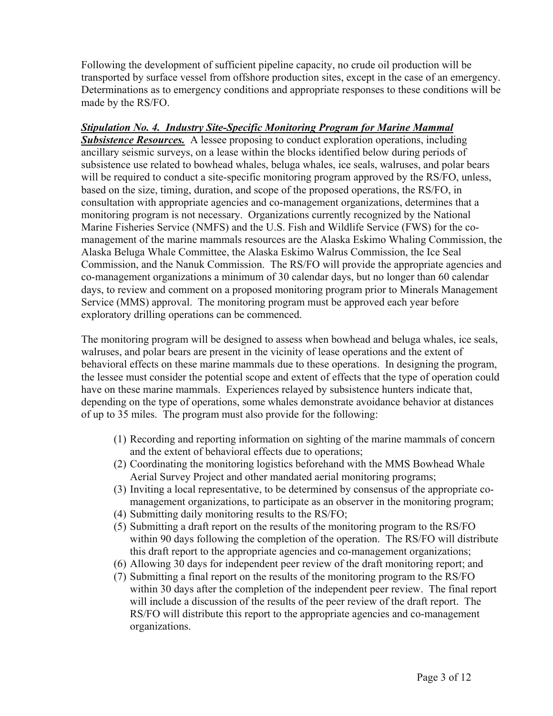Following the development of sufficient pipeline capacity, no crude oil production will be transported by surface vessel from offshore production sites, except in the case of an emergency. Determinations as to emergency conditions and appropriate responses to these conditions will be made by the RS/FO.

# *Stipulation No. 4. Industry Site-Specific Monitoring Program for Marine Mammal*

*Subsistence Resources.* A lessee proposing to conduct exploration operations, including ancillary seismic surveys, on a lease within the blocks identified below during periods of subsistence use related to bowhead whales, beluga whales, ice seals, walruses, and polar bears will be required to conduct a site-specific monitoring program approved by the RS/FO, unless, based on the size, timing, duration, and scope of the proposed operations, the RS/FO, in consultation with appropriate agencies and co-management organizations, determines that a monitoring program is not necessary. Organizations currently recognized by the National Marine Fisheries Service (NMFS) and the U.S. Fish and Wildlife Service (FWS) for the comanagement of the marine mammals resources are the Alaska Eskimo Whaling Commission, the Alaska Beluga Whale Committee, the Alaska Eskimo Walrus Commission, the Ice Seal Commission, and the Nanuk Commission. The RS/FO will provide the appropriate agencies and co-management organizations a minimum of 30 calendar days, but no longer than 60 calendar days, to review and comment on a proposed monitoring program prior to Minerals Management Service (MMS) approval. The monitoring program must be approved each year before exploratory drilling operations can be commenced.

The monitoring program will be designed to assess when bowhead and beluga whales, ice seals, walruses, and polar bears are present in the vicinity of lease operations and the extent of behavioral effects on these marine mammals due to these operations. In designing the program, the lessee must consider the potential scope and extent of effects that the type of operation could have on these marine mammals. Experiences relayed by subsistence hunters indicate that, depending on the type of operations, some whales demonstrate avoidance behavior at distances of up to 35 miles. The program must also provide for the following:

- (1) Recording and reporting information on sighting of the marine mammals of concern and the extent of behavioral effects due to operations;
- (2) Coordinating the monitoring logistics beforehand with the MMS Bowhead Whale Aerial Survey Project and other mandated aerial monitoring programs;
- (3) Inviting a local representative, to be determined by consensus of the appropriate comanagement organizations, to participate as an observer in the monitoring program;
- (4) Submitting daily monitoring results to the RS/FO;
- (5) Submitting a draft report on the results of the monitoring program to the RS/FO within 90 days following the completion of the operation. The RS/FO will distribute this draft report to the appropriate agencies and co-management organizations;
- (6) Allowing 30 days for independent peer review of the draft monitoring report; and
- (7) Submitting a final report on the results of the monitoring program to the RS/FO within 30 days after the completion of the independent peer review. The final report will include a discussion of the results of the peer review of the draft report. The RS/FO will distribute this report to the appropriate agencies and co-management organizations.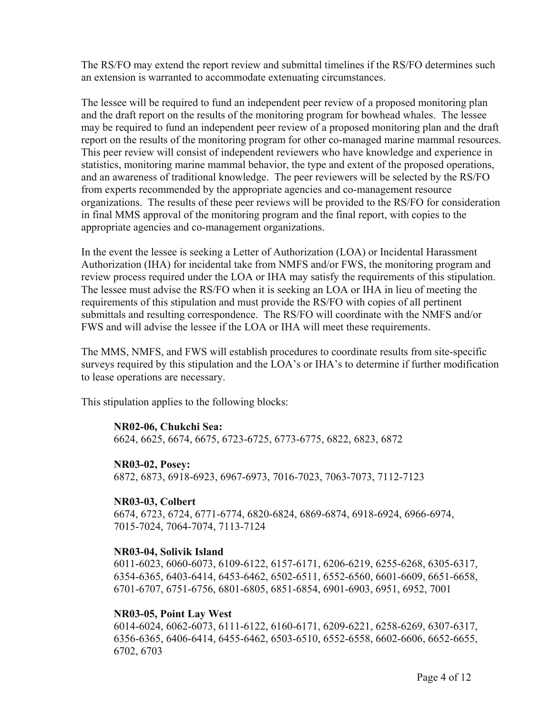The RS/FO may extend the report review and submittal timelines if the RS/FO determines such an extension is warranted to accommodate extenuating circumstances.

The lessee will be required to fund an independent peer review of a proposed monitoring plan and the draft report on the results of the monitoring program for bowhead whales. The lessee may be required to fund an independent peer review of a proposed monitoring plan and the draft report on the results of the monitoring program for other co-managed marine mammal resources. This peer review will consist of independent reviewers who have knowledge and experience in statistics, monitoring marine mammal behavior, the type and extent of the proposed operations, and an awareness of traditional knowledge. The peer reviewers will be selected by the RS/FO from experts recommended by the appropriate agencies and co-management resource organizations. The results of these peer reviews will be provided to the RS/FO for consideration in final MMS approval of the monitoring program and the final report, with copies to the appropriate agencies and co-management organizations.

In the event the lessee is seeking a Letter of Authorization (LOA) or Incidental Harassment Authorization (IHA) for incidental take from NMFS and/or FWS, the monitoring program and review process required under the LOA or IHA may satisfy the requirements of this stipulation. The lessee must advise the RS/FO when it is seeking an LOA or IHA in lieu of meeting the requirements of this stipulation and must provide the RS/FO with copies of all pertinent submittals and resulting correspondence. The RS/FO will coordinate with the NMFS and/or FWS and will advise the lessee if the LOA or IHA will meet these requirements.

The MMS, NMFS, and FWS will establish procedures to coordinate results from site-specific surveys required by this stipulation and the LOA's or IHA's to determine if further modification to lease operations are necessary.

This stipulation applies to the following blocks:

#### **NR02-06, Chukchi Sea:**

6624, 6625, 6674, 6675, 6723-6725, 6773-6775, 6822, 6823, 6872

#### **NR03-02, Posey:**

6872, 6873, 6918-6923, 6967-6973, 7016-7023, 7063-7073, 7112-7123

#### **NR03-03, Colbert**

6674, 6723, 6724, 6771-6774, 6820-6824, 6869-6874, 6918-6924, 6966-6974, 7015-7024, 7064-7074, 7113-7124

#### **NR03-04, Solivik Island**

6011-6023, 6060-6073, 6109-6122, 6157-6171, 6206-6219, 6255-6268, 6305-6317, 6354-6365, 6403-6414, 6453-6462, 6502-6511, 6552-6560, 6601-6609, 6651-6658, 6701-6707, 6751-6756, 6801-6805, 6851-6854, 6901-6903, 6951, 6952, 7001

#### **NR03-05, Point Lay West**

6014-6024, 6062-6073, 6111-6122, 6160-6171, 6209-6221, 6258-6269, 6307-6317, 6356-6365, 6406-6414, 6455-6462, 6503-6510, 6552-6558, 6602-6606, 6652-6655, 6702, 6703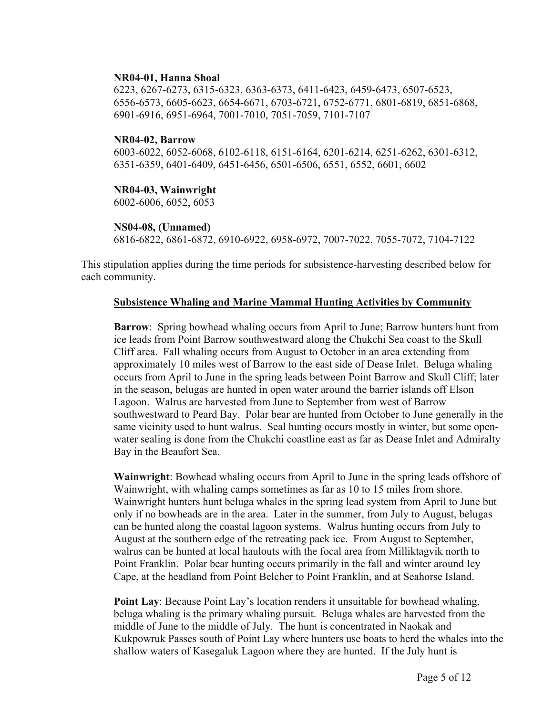#### **NR04-01, Hanna Shoal**

6223, 6267-6273, 6315-6323, 6363-6373, 6411-6423, 6459-6473, 6507-6523, 6556-6573, 6605-6623, 6654-6671, 6703-6721, 6752-6771, 6801-6819, 6851-6868, 6901-6916, 6951-6964, 7001-7010, 7051-7059, 7101-7107

#### **NR04-02, Barrow**

6003-6022, 6052-6068, 6102-6118, 6151-6164, 6201-6214, 6251-6262, 6301-6312, 6351-6359, 6401-6409, 6451-6456, 6501-6506, 6551, 6552, 6601, 6602

# **NR04-03, Wainwright**

6002-6006, 6052, 6053

#### **NS04-08, (Unnamed)**

6816-6822, 6861-6872, 6910-6922, 6958-6972, 7007-7022, 7055-7072, 7104-7122

This stipulation applies during the time periods for subsistence-harvesting described below for each community.

## **Subsistence Whaling and Marine Mammal Hunting Activities by Community**

**Barrow**: Spring bowhead whaling occurs from April to June; Barrow hunters hunt from ice leads from Point Barrow southwestward along the Chukchi Sea coast to the Skull Cliff area. Fall whaling occurs from August to October in an area extending from approximately 10 miles west of Barrow to the east side of Dease Inlet. Beluga whaling occurs from April to June in the spring leads between Point Barrow and Skull Cliff; later in the season, belugas are hunted in open water around the barrier islands off Elson Lagoon. Walrus are harvested from June to September from west of Barrow southwestward to Peard Bay. Polar bear are hunted from October to June generally in the same vicinity used to hunt walrus. Seal hunting occurs mostly in winter, but some openwater sealing is done from the Chukchi coastline east as far as Dease Inlet and Admiralty Bay in the Beaufort Sea.

**Wainwright**: Bowhead whaling occurs from April to June in the spring leads offshore of Wainwright, with whaling camps sometimes as far as 10 to 15 miles from shore. Wainwright hunters hunt beluga whales in the spring lead system from April to June but only if no bowheads are in the area. Later in the summer, from July to August, belugas can be hunted along the coastal lagoon systems. Walrus hunting occurs from July to August at the southern edge of the retreating pack ice. From August to September, walrus can be hunted at local haulouts with the focal area from Milliktagvik north to Point Franklin. Polar bear hunting occurs primarily in the fall and winter around Icy Cape, at the headland from Point Belcher to Point Franklin, and at Seahorse Island.

**Point Lay**: Because Point Lay's location renders it unsuitable for bowhead whaling, beluga whaling is the primary whaling pursuit. Beluga whales are harvested from the middle of June to the middle of July. The hunt is concentrated in Naokak and Kukpowruk Passes south of Point Lay where hunters use boats to herd the whales into the shallow waters of Kasegaluk Lagoon where they are hunted. If the July hunt is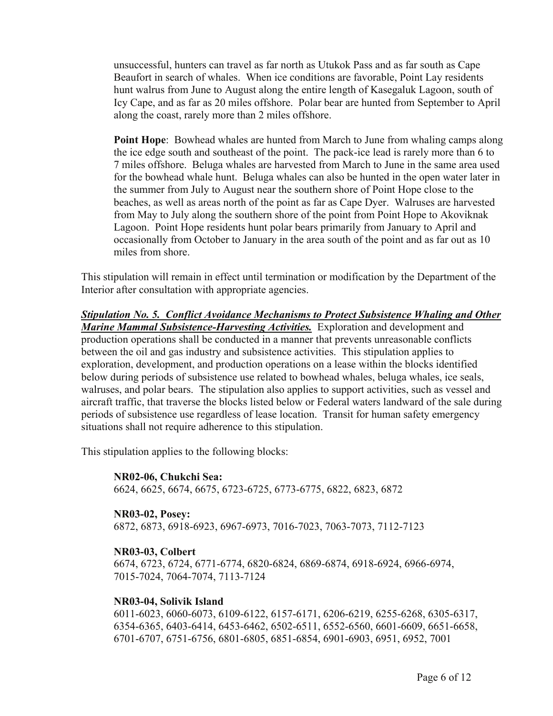unsuccessful, hunters can travel as far north as Utukok Pass and as far south as Cape Beaufort in search of whales. When ice conditions are favorable, Point Lay residents hunt walrus from June to August along the entire length of Kasegaluk Lagoon, south of Icy Cape, and as far as 20 miles offshore. Polar bear are hunted from September to April along the coast, rarely more than 2 miles offshore.

**Point Hope**: Bowhead whales are hunted from March to June from whaling camps along the ice edge south and southeast of the point. The pack-ice lead is rarely more than 6 to 7 miles offshore. Beluga whales are harvested from March to June in the same area used for the bowhead whale hunt. Beluga whales can also be hunted in the open water later in the summer from July to August near the southern shore of Point Hope close to the beaches, as well as areas north of the point as far as Cape Dyer. Walruses are harvested from May to July along the southern shore of the point from Point Hope to Akoviknak Lagoon. Point Hope residents hunt polar bears primarily from January to April and occasionally from October to January in the area south of the point and as far out as 10 miles from shore.

This stipulation will remain in effect until termination or modification by the Department of the Interior after consultation with appropriate agencies.

*Stipulation No. 5. Conflict Avoidance Mechanisms to Protect Subsistence Whaling and Other Marine Mammal Subsistence-Harvesting Activities.* Exploration and development and production operations shall be conducted in a manner that prevents unreasonable conflicts between the oil and gas industry and subsistence activities. This stipulation applies to exploration, development, and production operations on a lease within the blocks identified below during periods of subsistence use related to bowhead whales, beluga whales, ice seals, walruses, and polar bears. The stipulation also applies to support activities, such as vessel and aircraft traffic, that traverse the blocks listed below or Federal waters landward of the sale during periods of subsistence use regardless of lease location. Transit for human safety emergency situations shall not require adherence to this stipulation.

This stipulation applies to the following blocks:

**NR02-06, Chukchi Sea:**  6624, 6625, 6674, 6675, 6723-6725, 6773-6775, 6822, 6823, 6872

**NR03-02, Posey:**  6872, 6873, 6918-6923, 6967-6973, 7016-7023, 7063-7073, 7112-7123

**NR03-03, Colbert** 

6674, 6723, 6724, 6771-6774, 6820-6824, 6869-6874, 6918-6924, 6966-6974, 7015-7024, 7064-7074, 7113-7124

#### **NR03-04, Solivik Island**

6011-6023, 6060-6073, 6109-6122, 6157-6171, 6206-6219, 6255-6268, 6305-6317, 6354-6365, 6403-6414, 6453-6462, 6502-6511, 6552-6560, 6601-6609, 6651-6658, 6701-6707, 6751-6756, 6801-6805, 6851-6854, 6901-6903, 6951, 6952, 7001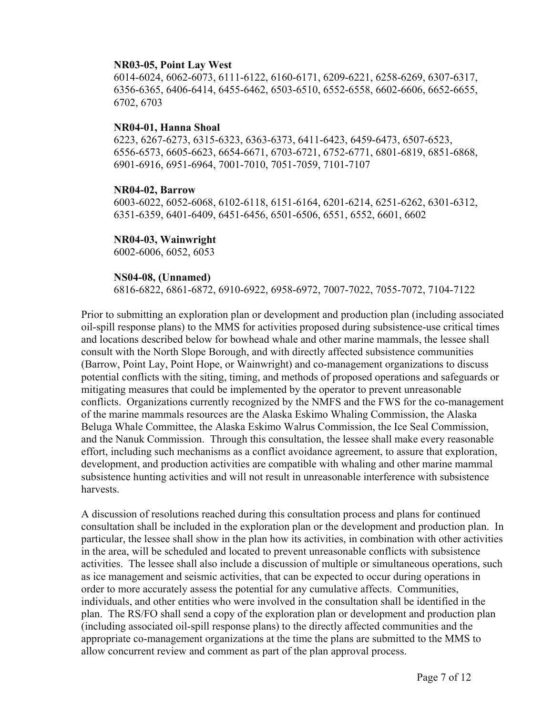#### **NR03-05, Point Lay West**

6014-6024, 6062-6073, 6111-6122, 6160-6171, 6209-6221, 6258-6269, 6307-6317, 6356-6365, 6406-6414, 6455-6462, 6503-6510, 6552-6558, 6602-6606, 6652-6655, 6702, 6703

#### **NR04-01, Hanna Shoal**

6223, 6267-6273, 6315-6323, 6363-6373, 6411-6423, 6459-6473, 6507-6523, 6556-6573, 6605-6623, 6654-6671, 6703-6721, 6752-6771, 6801-6819, 6851-6868, 6901-6916, 6951-6964, 7001-7010, 7051-7059, 7101-7107

#### **NR04-02, Barrow**

6003-6022, 6052-6068, 6102-6118, 6151-6164, 6201-6214, 6251-6262, 6301-6312, 6351-6359, 6401-6409, 6451-6456, 6501-6506, 6551, 6552, 6601, 6602

#### **NR04-03, Wainwright**

6002-6006, 6052, 6053

#### **NS04-08, (Unnamed)**

6816-6822, 6861-6872, 6910-6922, 6958-6972, 7007-7022, 7055-7072, 7104-7122

Prior to submitting an exploration plan or development and production plan (including associated oil-spill response plans) to the MMS for activities proposed during subsistence-use critical times and locations described below for bowhead whale and other marine mammals, the lessee shall consult with the North Slope Borough, and with directly affected subsistence communities (Barrow, Point Lay, Point Hope, or Wainwright) and co-management organizations to discuss potential conflicts with the siting, timing, and methods of proposed operations and safeguards or mitigating measures that could be implemented by the operator to prevent unreasonable conflicts. Organizations currently recognized by the NMFS and the FWS for the co-management of the marine mammals resources are the Alaska Eskimo Whaling Commission, the Alaska Beluga Whale Committee, the Alaska Eskimo Walrus Commission, the Ice Seal Commission, and the Nanuk Commission. Through this consultation, the lessee shall make every reasonable effort, including such mechanisms as a conflict avoidance agreement, to assure that exploration, development, and production activities are compatible with whaling and other marine mammal subsistence hunting activities and will not result in unreasonable interference with subsistence harvests.

A discussion of resolutions reached during this consultation process and plans for continued consultation shall be included in the exploration plan or the development and production plan. In particular, the lessee shall show in the plan how its activities, in combination with other activities in the area, will be scheduled and located to prevent unreasonable conflicts with subsistence activities. The lessee shall also include a discussion of multiple or simultaneous operations, such as ice management and seismic activities, that can be expected to occur during operations in order to more accurately assess the potential for any cumulative affects. Communities, individuals, and other entities who were involved in the consultation shall be identified in the plan. The RS/FO shall send a copy of the exploration plan or development and production plan (including associated oil-spill response plans) to the directly affected communities and the appropriate co-management organizations at the time the plans are submitted to the MMS to allow concurrent review and comment as part of the plan approval process.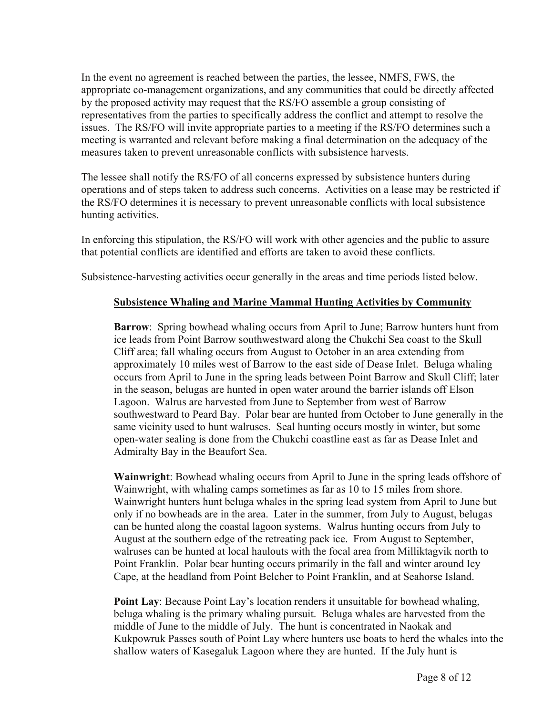In the event no agreement is reached between the parties, the lessee, NMFS, FWS, the appropriate co-management organizations, and any communities that could be directly affected by the proposed activity may request that the RS/FO assemble a group consisting of representatives from the parties to specifically address the conflict and attempt to resolve the issues. The RS/FO will invite appropriate parties to a meeting if the RS/FO determines such a meeting is warranted and relevant before making a final determination on the adequacy of the measures taken to prevent unreasonable conflicts with subsistence harvests.

The lessee shall notify the RS/FO of all concerns expressed by subsistence hunters during operations and of steps taken to address such concerns. Activities on a lease may be restricted if the RS/FO determines it is necessary to prevent unreasonable conflicts with local subsistence hunting activities.

In enforcing this stipulation, the RS/FO will work with other agencies and the public to assure that potential conflicts are identified and efforts are taken to avoid these conflicts.

Subsistence-harvesting activities occur generally in the areas and time periods listed below.

## **Subsistence Whaling and Marine Mammal Hunting Activities by Community**

**Barrow**: Spring bowhead whaling occurs from April to June; Barrow hunters hunt from ice leads from Point Barrow southwestward along the Chukchi Sea coast to the Skull Cliff area; fall whaling occurs from August to October in an area extending from approximately 10 miles west of Barrow to the east side of Dease Inlet. Beluga whaling occurs from April to June in the spring leads between Point Barrow and Skull Cliff; later in the season, belugas are hunted in open water around the barrier islands off Elson Lagoon. Walrus are harvested from June to September from west of Barrow southwestward to Peard Bay. Polar bear are hunted from October to June generally in the same vicinity used to hunt walruses. Seal hunting occurs mostly in winter, but some open-water sealing is done from the Chukchi coastline east as far as Dease Inlet and Admiralty Bay in the Beaufort Sea.

**Wainwright**: Bowhead whaling occurs from April to June in the spring leads offshore of Wainwright, with whaling camps sometimes as far as 10 to 15 miles from shore. Wainwright hunters hunt beluga whales in the spring lead system from April to June but only if no bowheads are in the area. Later in the summer, from July to August, belugas can be hunted along the coastal lagoon systems. Walrus hunting occurs from July to August at the southern edge of the retreating pack ice. From August to September, walruses can be hunted at local haulouts with the focal area from Milliktagvik north to Point Franklin. Polar bear hunting occurs primarily in the fall and winter around Icy Cape, at the headland from Point Belcher to Point Franklin, and at Seahorse Island.

**Point Lay**: Because Point Lay's location renders it unsuitable for bowhead whaling, beluga whaling is the primary whaling pursuit. Beluga whales are harvested from the middle of June to the middle of July. The hunt is concentrated in Naokak and Kukpowruk Passes south of Point Lay where hunters use boats to herd the whales into the shallow waters of Kasegaluk Lagoon where they are hunted. If the July hunt is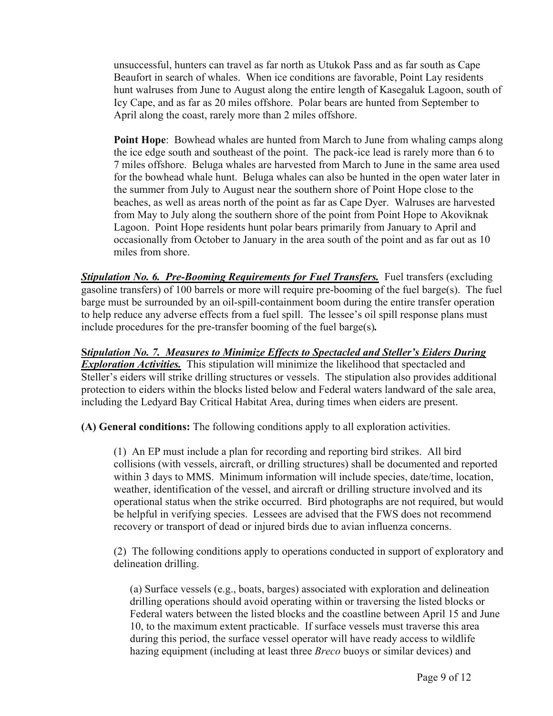unsuccessful, hunters can travel as far north as Utukok Pass and as far south as Cape Beaufort in search of whales. When ice conditions are favorable, Point Lay residents hunt walruses from June to August along the entire length of Kasegaluk Lagoon, south of Icy Cape, and as far as 20 miles offshore. Polar bears are hunted from September to April along the coast, rarely more than 2 miles offshore.

**Point Hope**: Bowhead whales are hunted from March to June from whaling camps along the ice edge south and southeast of the point. The pack-ice lead is rarely more than 6 to 7 miles offshore. Beluga whales are harvested from March to June in the same area used for the bowhead whale hunt. Beluga whales can also be hunted in the open water later in the summer from July to August near the southern shore of Point Hope close to the beaches, as well as areas north of the point as far as Cape Dyer. Walruses are harvested from May to July along the southern shore of the point from Point Hope to Akoviknak Lagoon. Point Hope residents hunt polar bears primarily from January to April and occasionally from October to January in the area south of the point and as far out as 10 miles from shore.

*Stipulation No. 6. Pre-Booming Requirements for Fuel Transfers.* Fuel transfers (excluding gasoline transfers) of 100 barrels or more will require pre-booming of the fuel barge(s). The fuel barge must be surrounded by an oil-spill-containment boom during the entire transfer operation to help reduce any adverse effects from a fuel spill. The lessee's oil spill response plans must include procedures for the pre-transfer booming of the fuel barge(s)*.* 

**S***tipulation No. 7. Measures to Minimize Effects to Spectacled and Steller's Eiders During*  **Exploration Activities.** This stipulation will minimize the likelihood that spectacled and Steller's eiders will strike drilling structures or vessels. The stipulation also provides additional protection to eiders within the blocks listed below and Federal waters landward of the sale area, including the Ledyard Bay Critical Habitat Area, during times when eiders are present.

**(A) General conditions:** The following conditions apply to all exploration activities.

(1) An EP must include a plan for recording and reporting bird strikes. All bird collisions (with vessels, aircraft, or drilling structures) shall be documented and reported within 3 days to MMS. Minimum information will include species, date/time, location, weather, identification of the vessel, and aircraft or drilling structure involved and its operational status when the strike occurred. Bird photographs are not required, but would be helpful in verifying species. Lessees are advised that the FWS does not recommend recovery or transport of dead or injured birds due to avian influenza concerns.

(2) The following conditions apply to operations conducted in support of exploratory and delineation drilling.

(a) Surface vessels (e.g., boats, barges) associated with exploration and delineation drilling operations should avoid operating within or traversing the listed blocks or Federal waters between the listed blocks and the coastline between April 15 and June 10, to the maximum extent practicable. If surface vessels must traverse this area during this period, the surface vessel operator will have ready access to wildlife hazing equipment (including at least three *Breco* buoys or similar devices) and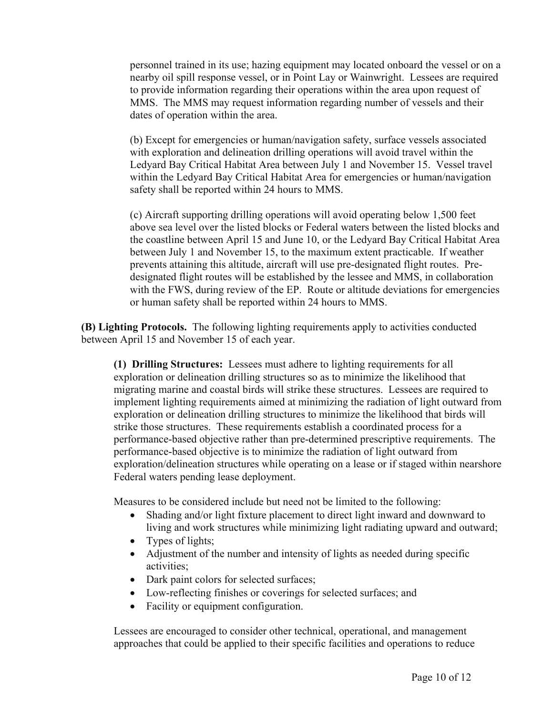personnel trained in its use; hazing equipment may located onboard the vessel or on a nearby oil spill response vessel, or in Point Lay or Wainwright. Lessees are required to provide information regarding their operations within the area upon request of MMS. The MMS may request information regarding number of vessels and their dates of operation within the area.

(b) Except for emergencies or human/navigation safety, surface vessels associated with exploration and delineation drilling operations will avoid travel within the Ledyard Bay Critical Habitat Area between July 1 and November 15. Vessel travel within the Ledyard Bay Critical Habitat Area for emergencies or human/navigation safety shall be reported within 24 hours to MMS.

(c) Aircraft supporting drilling operations will avoid operating below 1,500 feet above sea level over the listed blocks or Federal waters between the listed blocks and the coastline between April 15 and June 10, or the Ledyard Bay Critical Habitat Area between July 1 and November 15, to the maximum extent practicable. If weather prevents attaining this altitude, aircraft will use pre-designated flight routes. Predesignated flight routes will be established by the lessee and MMS, in collaboration with the FWS, during review of the EP. Route or altitude deviations for emergencies or human safety shall be reported within 24 hours to MMS.

**(B) Lighting Protocols.** The following lighting requirements apply to activities conducted between April 15 and November 15 of each year.

**(1) Drilling Structures:** Lessees must adhere to lighting requirements for all exploration or delineation drilling structures so as to minimize the likelihood that migrating marine and coastal birds will strike these structures. Lessees are required to implement lighting requirements aimed at minimizing the radiation of light outward from exploration or delineation drilling structures to minimize the likelihood that birds will strike those structures. These requirements establish a coordinated process for a performance-based objective rather than pre-determined prescriptive requirements. The performance-based objective is to minimize the radiation of light outward from exploration/delineation structures while operating on a lease or if staged within nearshore Federal waters pending lease deployment.

Measures to be considered include but need not be limited to the following:

- Shading and/or light fixture placement to direct light inward and downward to living and work structures while minimizing light radiating upward and outward;
- Types of lights;
- Adjustment of the number and intensity of lights as needed during specific activities;
- Dark paint colors for selected surfaces;
- Low-reflecting finishes or coverings for selected surfaces; and
- Facility or equipment configuration.

Lessees are encouraged to consider other technical, operational, and management approaches that could be applied to their specific facilities and operations to reduce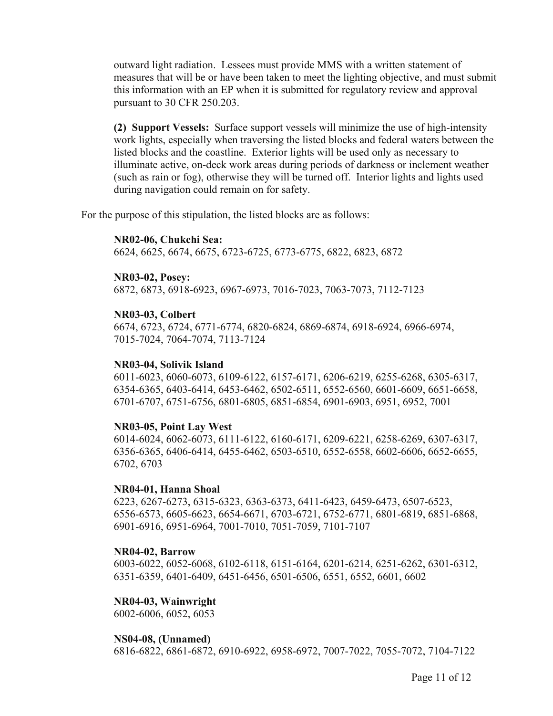outward light radiation. Lessees must provide MMS with a written statement of measures that will be or have been taken to meet the lighting objective, and must submit this information with an EP when it is submitted for regulatory review and approval pursuant to 30 CFR 250.203.

**(2) Support Vessels:** Surface support vessels will minimize the use of high-intensity work lights, especially when traversing the listed blocks and federal waters between the listed blocks and the coastline. Exterior lights will be used only as necessary to illuminate active, on-deck work areas during periods of darkness or inclement weather (such as rain or fog), otherwise they will be turned off. Interior lights and lights used during navigation could remain on for safety.

For the purpose of this stipulation, the listed blocks are as follows:

#### **NR02-06, Chukchi Sea:**

6624, 6625, 6674, 6675, 6723-6725, 6773-6775, 6822, 6823, 6872

#### **NR03-02, Posey:**

6872, 6873, 6918-6923, 6967-6973, 7016-7023, 7063-7073, 7112-7123

#### **NR03-03, Colbert**

6674, 6723, 6724, 6771-6774, 6820-6824, 6869-6874, 6918-6924, 6966-6974, 7015-7024, 7064-7074, 7113-7124

#### **NR03-04, Solivik Island**

6011-6023, 6060-6073, 6109-6122, 6157-6171, 6206-6219, 6255-6268, 6305-6317, 6354-6365, 6403-6414, 6453-6462, 6502-6511, 6552-6560, 6601-6609, 6651-6658, 6701-6707, 6751-6756, 6801-6805, 6851-6854, 6901-6903, 6951, 6952, 7001

#### **NR03-05, Point Lay West**

6014-6024, 6062-6073, 6111-6122, 6160-6171, 6209-6221, 6258-6269, 6307-6317, 6356-6365, 6406-6414, 6455-6462, 6503-6510, 6552-6558, 6602-6606, 6652-6655, 6702, 6703

#### **NR04-01, Hanna Shoal**

6223, 6267-6273, 6315-6323, 6363-6373, 6411-6423, 6459-6473, 6507-6523, 6556-6573, 6605-6623, 6654-6671, 6703-6721, 6752-6771, 6801-6819, 6851-6868, 6901-6916, 6951-6964, 7001-7010, 7051-7059, 7101-7107

#### **NR04-02, Barrow**

6003-6022, 6052-6068, 6102-6118, 6151-6164, 6201-6214, 6251-6262, 6301-6312, 6351-6359, 6401-6409, 6451-6456, 6501-6506, 6551, 6552, 6601, 6602

#### **NR04-03, Wainwright**

6002-6006, 6052, 6053

#### **NS04-08, (Unnamed)**

6816-6822, 6861-6872, 6910-6922, 6958-6972, 7007-7022, 7055-7072, 7104-7122